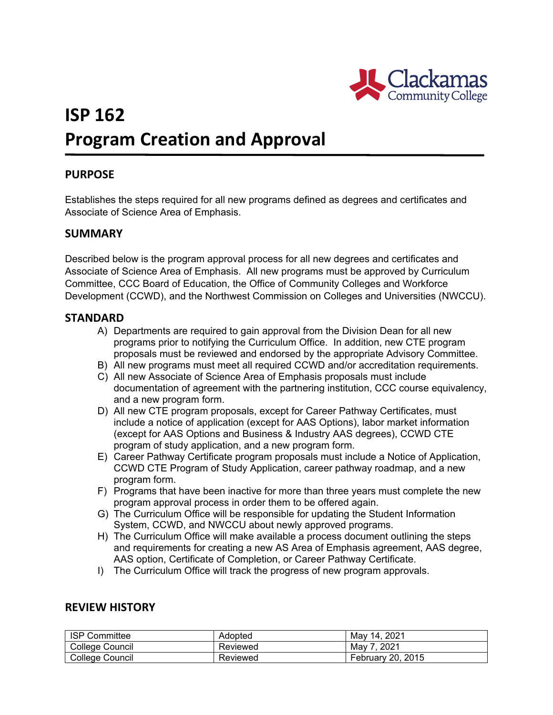

# **ISP 162 Program Creation and Approval**

## **PURPOSE**

Establishes the steps required for all new programs defined as degrees and certificates and Associate of Science Area of Emphasis.

### **SUMMARY**

Described below is the program approval process for all new degrees and certificates and Associate of Science Area of Emphasis. All new programs must be approved by Curriculum Committee, CCC Board of Education, the Office of Community Colleges and Workforce Development (CCWD), and the Northwest Commission on Colleges and Universities (NWCCU).

#### **STANDARD**

- A) Departments are required to gain approval from the Division Dean for all new programs prior to notifying the Curriculum Office. In addition, new CTE program proposals must be reviewed and endorsed by the appropriate Advisory Committee.
- B) All new programs must meet all required CCWD and/or accreditation requirements.
- C) All new Associate of Science Area of Emphasis proposals must include documentation of agreement with the partnering institution, CCC course equivalency, and a new program form.
- D) All new CTE program proposals, except for Career Pathway Certificates, must include a notice of application (except for AAS Options), labor market information (except for AAS Options and Business & Industry AAS degrees), CCWD CTE program of study application, and a new program form.
- E) Career Pathway Certificate program proposals must include a Notice of Application, CCWD CTE Program of Study Application, career pathway roadmap, and a new program form.
- F) Programs that have been inactive for more than three years must complete the new program approval process in order them to be offered again.
- G) The Curriculum Office will be responsible for updating the Student Information System, CCWD, and NWCCU about newly approved programs.
- H) The Curriculum Office will make available a process document outlining the steps and requirements for creating a new AS Area of Emphasis agreement, AAS degree, AAS option, Certificate of Completion, or Career Pathway Certificate.
- I) The Curriculum Office will track the progress of new program approvals.

### **REVIEW HISTORY**

| <b>ISP Committee</b> | Adopted  | May 14, 2021             |
|----------------------|----------|--------------------------|
| College Council      | Reviewed | May 7, 2021              |
| College Council      | Reviewed | <b>February 20, 2015</b> |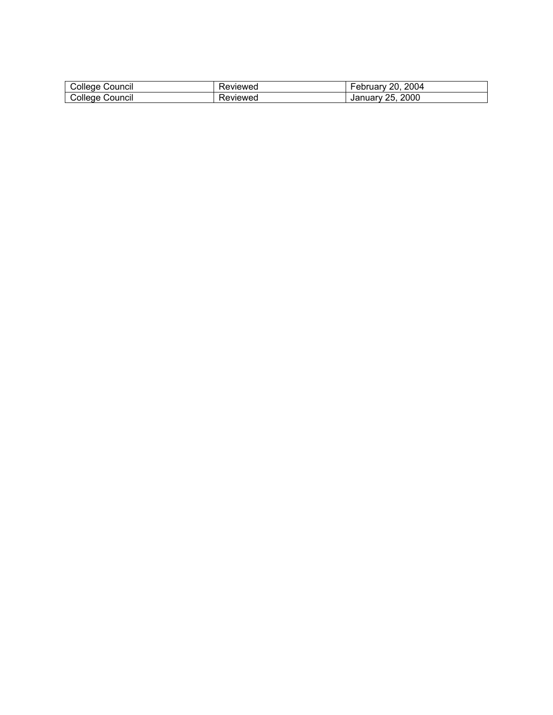| -<br>Council<br>wollede f | Pevleweu | 2004<br>ററ<br>ں ال<br>. uar   |
|---------------------------|----------|-------------------------------|
| ⊜ouncii<br>ollege.        | 'evieweg | 2000<br>Jar<br>ノト<br>. iuai v |